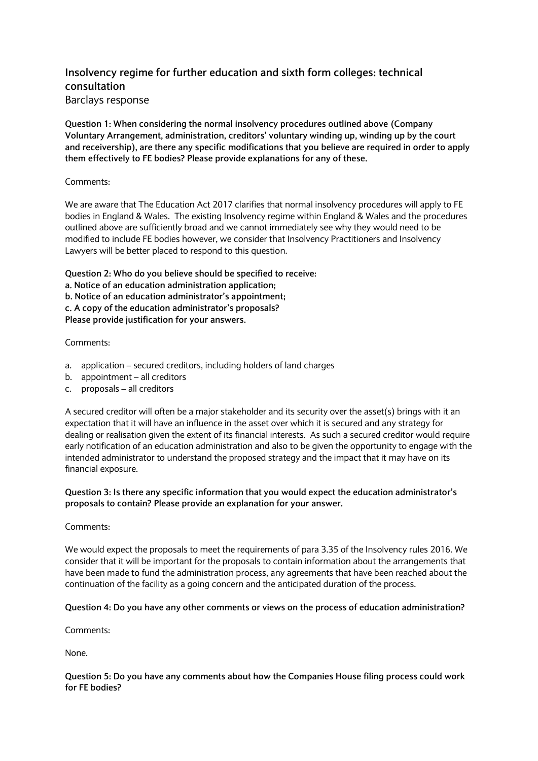# **Insolvency regime for further education and sixth form colleges: technical consultation** Barclays response

**Question 1: When considering the normal insolvency procedures outlined above (Company Voluntary Arrangement, administration, creditors' voluntary winding up, winding up by the court and receivership), are there any specific modifications that you believe are required in order to apply them effectively to FE bodies? Please provide explanations for any of these.**

### Comments:

We are aware that The Education Act 2017 clarifies that normal insolvency procedures will apply to FE bodies in England & Wales. The existing Insolvency regime within England & Wales and the procedures outlined above are sufficiently broad and we cannot immediately see why they would need to be modified to include FE bodies however, we consider that Insolvency Practitioners and Insolvency Lawyers will be better placed to respond to this question.

**Question 2: Who do you believe should be specified to receive:**

**a. Notice of an education administration application;**

**b. Notice of an education administrator's appointment;**

**c. A copy of the education administrator's proposals?**

**Please provide justification for your answers.**

# Comments:

- a. application secured creditors, including holders of land charges
- b. appointment all creditors
- c. proposals all creditors

A secured creditor will often be a major stakeholder and its security over the asset(s) brings with it an expectation that it will have an influence in the asset over which it is secured and any strategy for dealing or realisation given the extent of its financial interests. As such a secured creditor would require early notification of an education administration and also to be given the opportunity to engage with the intended administrator to understand the proposed strategy and the impact that it may have on its financial exposure.

# **Question 3: Is there any specific information that you would expect the education administrator's proposals to contain? Please provide an explanation for your answer.**

### Comments:

We would expect the proposals to meet the requirements of para 3.35 of the Insolvency rules 2016. We consider that it will be important for the proposals to contain information about the arrangements that have been made to fund the administration process, any agreements that have been reached about the continuation of the facility as a going concern and the anticipated duration of the process.

# **Question 4: Do you have any other comments or views on the process of education administration?**

Comments:

None.

# **Question 5: Do you have any comments about how the Companies House filing process could work for FE bodies?**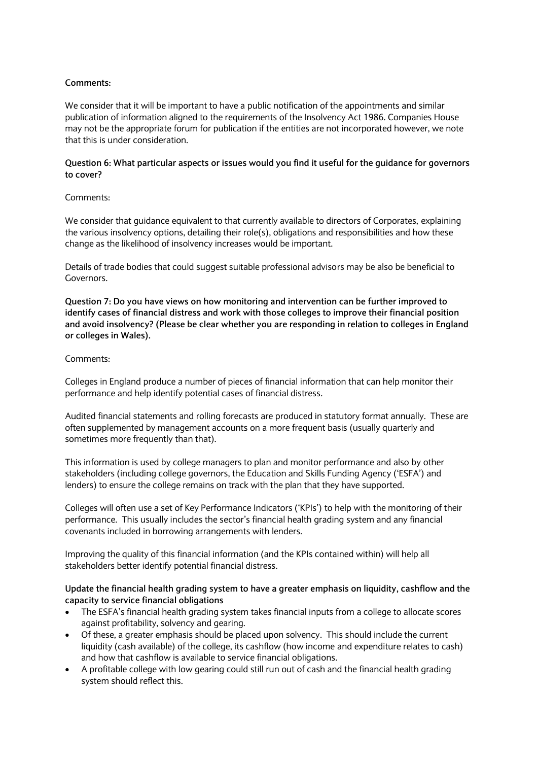#### **Comments:**

We consider that it will be important to have a public notification of the appointments and similar publication of information aligned to the requirements of the Insolvency Act 1986. Companies House may not be the appropriate forum for publication if the entities are not incorporated however, we note that this is under consideration.

#### **Question 6: What particular aspects or issues would you find it useful for the guidance for governors to cover?**

#### Comments:

We consider that quidance equivalent to that currently available to directors of Corporates, explaining the various insolvency options, detailing their role(s), obligations and responsibilities and how these change as the likelihood of insolvency increases would be important.

Details of trade bodies that could suggest suitable professional advisors may be also be beneficial to Governors.

**Question 7: Do you have views on how monitoring and intervention can be further improved to identify cases of financial distress and work with those colleges to improve their financial position and avoid insolvency? (Please be clear whether you are responding in relation to colleges in England or colleges in Wales).**

#### Comments:

Colleges in England produce a number of pieces of financial information that can help monitor their performance and help identify potential cases of financial distress.

Audited financial statements and rolling forecasts are produced in statutory format annually. These are often supplemented by management accounts on a more frequent basis (usually quarterly and sometimes more frequently than that).

This information is used by college managers to plan and monitor performance and also by other stakeholders (including college governors, the Education and Skills Funding Agency ('ESFA') and lenders) to ensure the college remains on track with the plan that they have supported.

Colleges will often use a set of Key Performance Indicators ('KPIs') to help with the monitoring of their performance. This usually includes the sector's financial health grading system and any financial covenants included in borrowing arrangements with lenders.

Improving the quality of this financial information (and the KPIs contained within) will help all stakeholders better identify potential financial distress.

### **Update the financial health grading system to have a greater emphasis on liquidity, cashflow and the capacity to service financial obligations**

- The ESFA's financial health grading system takes financial inputs from a college to allocate scores against profitability, solvency and gearing.
- Of these, a greater emphasis should be placed upon solvency. This should include the current liquidity (cash available) of the college, its cashflow (how income and expenditure relates to cash) and how that cashflow is available to service financial obligations.
- A profitable college with low gearing could still run out of cash and the financial health grading system should reflect this.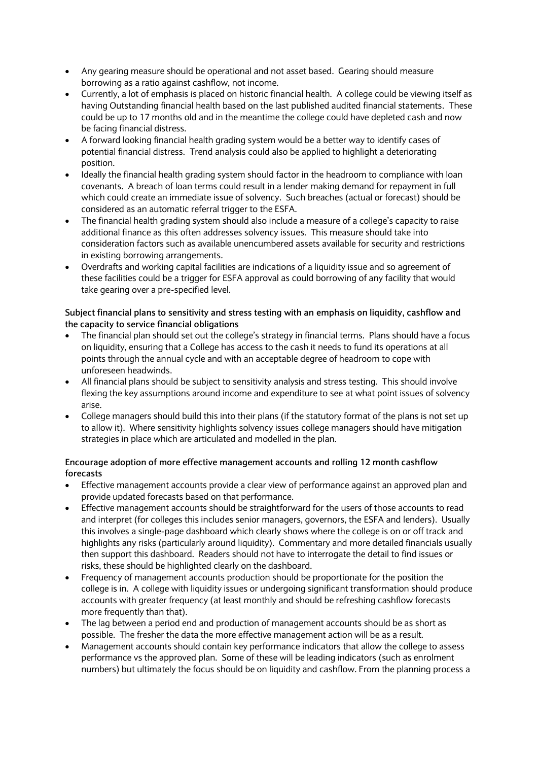- Any gearing measure should be operational and not asset based. Gearing should measure borrowing as a ratio against cashflow, not income.
- Currently, a lot of emphasis is placed on historic financial health. A college could be viewing itself as having Outstanding financial health based on the last published audited financial statements. These could be up to 17 months old and in the meantime the college could have depleted cash and now be facing financial distress.
- A forward looking financial health grading system would be a better way to identify cases of potential financial distress. Trend analysis could also be applied to highlight a deteriorating position.
- Ideally the financial health grading system should factor in the headroom to compliance with loan covenants. A breach of loan terms could result in a lender making demand for repayment in full which could create an immediate issue of solvency. Such breaches (actual or forecast) should be considered as an automatic referral trigger to the ESFA.
- The financial health grading system should also include a measure of a college's capacity to raise additional finance as this often addresses solvency issues. This measure should take into consideration factors such as available unencumbered assets available for security and restrictions in existing borrowing arrangements.
- Overdrafts and working capital facilities are indications of a liquidity issue and so agreement of these facilities could be a trigger for ESFA approval as could borrowing of any facility that would take gearing over a pre-specified level.

# **Subject financial plans to sensitivity and stress testing with an emphasis on liquidity, cashflow and the capacity to service financial obligations**

- The financial plan should set out the college's strategy in financial terms. Plans should have a focus on liquidity, ensuring that a College has access to the cash it needs to fund its operations at all points through the annual cycle and with an acceptable degree of headroom to cope with unforeseen headwinds.
- All financial plans should be subject to sensitivity analysis and stress testing. This should involve flexing the key assumptions around income and expenditure to see at what point issues of solvency arise.
- College managers should build this into their plans (if the statutory format of the plans is not set up to allow it). Where sensitivity highlights solvency issues college managers should have mitigation strategies in place which are articulated and modelled in the plan.

# **Encourage adoption of more effective management accounts and rolling 12 month cashflow forecasts**

- Effective management accounts provide a clear view of performance against an approved plan and provide updated forecasts based on that performance.
- Effective management accounts should be straightforward for the users of those accounts to read and interpret (for colleges this includes senior managers, governors, the ESFA and lenders). Usually this involves a single-page dashboard which clearly shows where the college is on or off track and highlights any risks (particularly around liquidity). Commentary and more detailed financials usually then support this dashboard. Readers should not have to interrogate the detail to find issues or risks, these should be highlighted clearly on the dashboard.
- Frequency of management accounts production should be proportionate for the position the college is in. A college with liquidity issues or undergoing significant transformation should produce accounts with greater frequency (at least monthly and should be refreshing cashflow forecasts more frequently than that).
- The lag between a period end and production of management accounts should be as short as possible. The fresher the data the more effective management action will be as a result.
- Management accounts should contain key performance indicators that allow the college to assess performance vs the approved plan. Some of these will be leading indicators (such as enrolment numbers) but ultimately the focus should be on liquidity and cashflow. From the planning process a